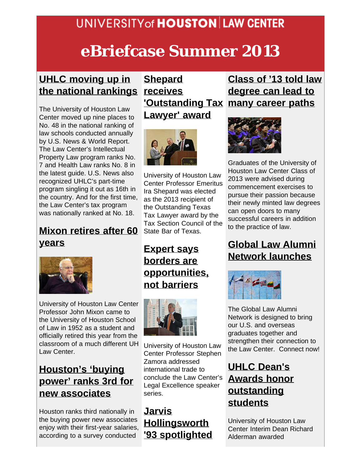### **UNIVERSITY of HOUSTON LAW CENTER**

# **eBriefcase Summer 2013**

#### **[UHLC moving up in](http://www.law.uh.edu/news/spring2013/0312NationalRankings.asp) [the national rankings](http://www.law.uh.edu/news/spring2013/0312NationalRankings.asp)**

The University of Houston Law Center moved up nine places to No. 48 in the national ranking of law schools conducted annually by U.S. News & World Report. The Law Center's Intellectual Property Law program ranks No. 7 and Health Law ranks No. 8 in the latest guide. U.S. News also recognized UHLC's part-time program singling it out as 16th in the country. And for the first time, the Law Center's tax program was nationally ranked at No. 18.

#### **[Mixon retires after 60](http://www.law.uh.edu/news/spring2013/0220Mixon.asp) [years](http://www.law.uh.edu/news/spring2013/0220Mixon.asp)**



University of Houston Law Center Professor John Mixon came to the University of Houston School of Law in 1952 as a student and officially retired this year from the classroom of a much different UH Law Center.

#### **[Houston's 'buying](http://www.law.uh.edu/news/spring2013/0111buyingpower.asp) [power' ranks 3rd for](http://www.law.uh.edu/news/spring2013/0111buyingpower.asp) [new associates](http://www.law.uh.edu/news/spring2013/0111buyingpower.asp)**

Houston ranks third nationally in the buying power new associates enjoy with their first-year salaries, according to a survey conducted

## **[Shepard](http://www.law.uh.edu/news/summer2013/0621Shepard.asp) [receives](http://www.law.uh.edu/news/summer2013/0621Shepard.asp) [Lawyer' award](http://www.law.uh.edu/news/summer2013/0621Shepard.asp)**



University of Houston Law Center Professor Emeritus Ira Shepard was elected as the 2013 recipient of the Outstanding Texas Tax Lawyer award by the Tax Section Council of the State Bar of Texas.

**[Expert says](http://www.law.uh.edu/news/spring2013/0429Zamora.asp) [borders are](http://www.law.uh.edu/news/spring2013/0429Zamora.asp) [opportunities,](http://www.law.uh.edu/news/spring2013/0429Zamora.asp) [not barriers](http://www.law.uh.edu/news/spring2013/0429Zamora.asp)**



University of Houston Law Center Professor Stephen Zamora addressed international trade to conclude the Law Center's Legal Excellence speaker series.

#### **[Jarvis](http://www.law.uh.edu/news/spring2013/0325Hollingsworth.asp) [Hollingsworth](http://www.law.uh.edu/news/spring2013/0325Hollingsworth.asp) ['93 spotlighted](http://www.law.uh.edu/news/spring2013/0325Hollingsworth.asp)**

#### **['Outstanding Tax](http://www.law.uh.edu/news/summer2013/0621Shepard.asp) [many career paths](http://www.law.uh.edu/news/summer2013/0513Commencement.asp) [Class of '13 told law](http://www.law.uh.edu/news/summer2013/0513Commencement.asp) [degree can lead to](http://www.law.uh.edu/news/summer2013/0513Commencement.asp)**



Graduates of the University of Houston Law Center Class of 2013 were advised during commencement exercises to pursue their passion because their newly minted law degrees can open doors to many successful careers in addition to the practice of law.

#### **[Global Law Alumni](http://www.law.uh.edu/alumni/global/) [Network launches](http://www.law.uh.edu/alumni/global/)**



The Global Law Alumni Network is designed to bring our U.S. and overseas graduates together and strengthen their connection to the Law Center. Connect now!

#### **[UHLC Dean's](http://www.law.uh.edu/news/spring2013/0425DeanAwards.asp) [Awards honor](http://www.law.uh.edu/news/spring2013/0425DeanAwards.asp) [outstanding](http://www.law.uh.edu/news/spring2013/0425DeanAwards.asp) [students](http://www.law.uh.edu/news/spring2013/0425DeanAwards.asp)**

University of Houston Law Center Interim Dean Richard Alderman awarded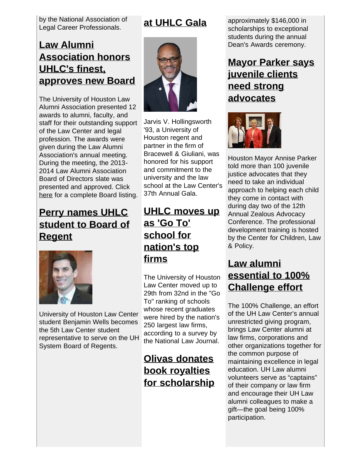by the National Association of Legal Career Professionals.

#### **[Law Alumni](http://www.law.uh.edu/news/summer2013/0523Alumni.asp) [Association honors](http://www.law.uh.edu/news/summer2013/0523Alumni.asp) [UHLC's finest,](http://www.law.uh.edu/news/summer2013/0523Alumni.asp) [approves new Board](http://www.law.uh.edu/news/summer2013/0523Alumni.asp)**

The University of Houston Law Alumni Association presented 12 awards to alumni, faculty, and staff for their outstanding support of the Law Center and legal profession. The awards were given during the Law Alumni Association's annual meeting. During the meeting, the 2013- 2014 Law Alumni Association Board of Directors slate was presented and approved. Click [here](http://www.law.uh.edu/alumni/uhlaaboard.asp) for a complete Board listing.

#### **[Perry names UHLC](http://www.law.uh.edu/news/spring2013/0507Regent.asp) [student to Board of](http://www.law.uh.edu/news/spring2013/0507Regent.asp) [Regent](http://www.law.uh.edu/news/spring2013/0507Regent.asp)**



University of Houston Law Center student Benjamin Wells becomes the 5th Law Center student representative to serve on the UH System Board of Regents.

### **[at UHLC Gala](http://www.law.uh.edu/news/spring2013/0325Hollingsworth.asp)**



Jarvis V. Hollingsworth '93, a University of Houston regent and partner in the firm of Bracewell & Giuliani, was honored for his support and commitment to the university and the law school at the Law Center's 37th Annual Gala.

#### **[UHLC moves up](http://www.law.uh.edu/news/spring2013/0226Go-to-Ranking.asp) [as 'Go To'](http://www.law.uh.edu/news/spring2013/0226Go-to-Ranking.asp) [school for](http://www.law.uh.edu/news/spring2013/0226Go-to-Ranking.asp) [nation's top](http://www.law.uh.edu/news/spring2013/0226Go-to-Ranking.asp) [firms](http://www.law.uh.edu/news/spring2013/0226Go-to-Ranking.asp)**

The University of Houston Law Center moved up to 29th from 32nd in the "Go To" ranking of schools whose recent graduates were hired by the nation's 250 largest law firms, according to a survey by the National Law Journal.

#### **[Olivas donates](http://www.uh.edu/news-events/stories/2013/may/5%206%20LAW%20OlivasPerales.php) [book royalties](http://www.uh.edu/news-events/stories/2013/may/5%206%20LAW%20OlivasPerales.php) [for scholarship](http://www.uh.edu/news-events/stories/2013/may/5%206%20LAW%20OlivasPerales.php)**

approximately \$146,000 in scholarships to exceptional students during the annual Dean's Awards ceremony.

#### **[Mayor Parker says](http://www.law.uh.edu/news/summer2013/0517CCLP.asp) [juvenile clients](http://www.law.uh.edu/news/summer2013/0517CCLP.asp) [need strong](http://www.law.uh.edu/news/summer2013/0517CCLP.asp) [advocates](http://www.law.uh.edu/news/summer2013/0517CCLP.asp)**



Houston Mayor Annise Parker told more than 100 juvenile justice advocates that they need to take an individual approach to helping each child they come in contact with during day two of the 12th Annual Zealous Advocacy Conference. The professional development training is hosted by the Center for Children, Law & Policy.

#### **[Law alumni](http://www.law.uh.edu/news/summer2013/eBriefcase-100Challenge.pdf) [essential to 100%](http://www.law.uh.edu/news/summer2013/eBriefcase-100Challenge.pdf) [Challenge effort](http://www.law.uh.edu/news/summer2013/eBriefcase-100Challenge.pdf)**

The 100% Challenge, an effort of the UH Law Center's annual unrestricted giving program, brings Law Center alumni at law firms, corporations and other organizations together for the common purpose of maintaining excellence in legal education. UH Law alumni volunteers serve as "captains" of their company or law firm and encourage their UH Law alumni colleagues to make a gift—the goal being 100% participation.